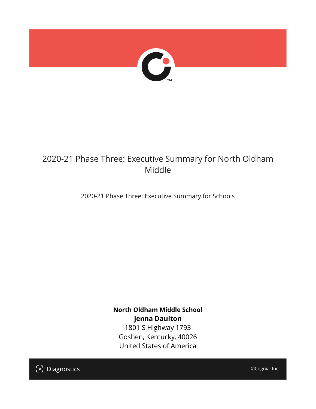

## 2020-21 Phase Three: Executive Summary for North Oldham Middle

2020-21 Phase Three: Executive Summary for Schools

**North Oldham Middle School jenna Daulton** 1801 S Highway 1793 Goshen, Kentucky, 40026 United States of America

[၁] Diagnostics

©Cognia, Inc.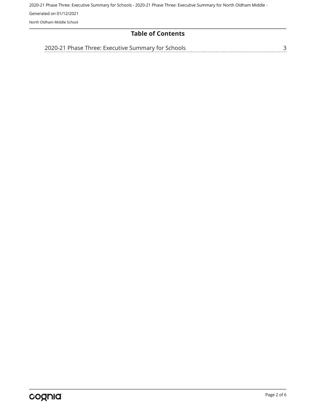### **Table of Contents**

[2020-21 Phase Three: Executive Summary for Schools](#page-2-0)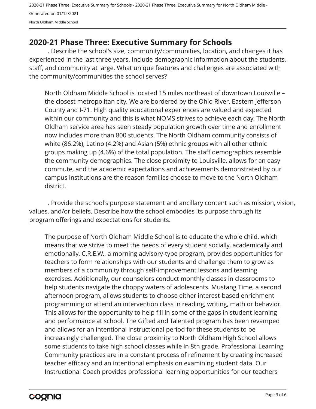## <span id="page-2-0"></span>**2020-21 Phase Three: Executive Summary for Schools**

. Describe the school's size, community/communities, location, and changes it has experienced in the last three years. Include demographic information about the students, staff, and community at large. What unique features and challenges are associated with the community/communities the school serves?

North Oldham Middle School is located 15 miles northeast of downtown Louisville – the closest metropolitan city. We are bordered by the Ohio River, Eastern Jefferson County and I-71. High quality educational experiences are valued and expected within our community and this is what NOMS strives to achieve each day. The North Oldham service area has seen steady population growth over time and enrollment now includes more than 800 students. The North Oldham community consists of white (86.2%), Latino (4.2%) and Asian (5%) ethnic groups with all other ethnic groups making up (4.6%) of the total population. The staff demographics resemble the community demographics. The close proximity to Louisville, allows for an easy commute, and the academic expectations and achievements demonstrated by our campus institutions are the reason families choose to move to the North Oldham district.

. Provide the school's purpose statement and ancillary content such as mission, vision, values, and/or beliefs. Describe how the school embodies its purpose through its program offerings and expectations for students.

The purpose of North Oldham Middle School is to educate the whole child, which means that we strive to meet the needs of every student socially, academically and emotionally. C.R.E.W., a morning advisory-type program, provides opportunities for teachers to form relationships with our students and challenge them to grow as members of a community through self-improvement lessons and teaming exercises. Additionally, our counselors conduct monthly classes in classrooms to help students navigate the choppy waters of adolescents. Mustang Time, a second afternoon program, allows students to choose either interest-based enrichment programming or attend an intervention class in reading, writing, math or behavior. This allows for the opportunity to help fill in some of the gaps in student learning and performance at school. The Gifted and Talented program has been revamped and allows for an intentional instructional period for these students to be increasingly challenged. The close proximity to North Oldham High School allows some students to take high school classes while in 8th grade. Professional Learning Community practices are in a constant process of refinement by creating increased teacher efficacy and an intentional emphasis on examining student data. Our Instructional Coach provides professional learning opportunities for our teachers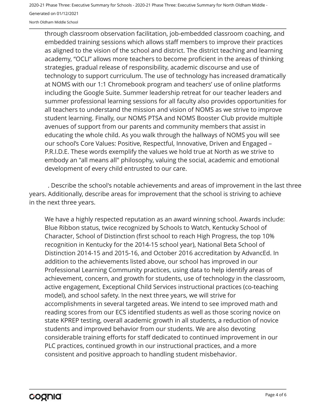through classroom observation facilitation, job-embedded classroom coaching, and embedded training sessions which allows staff members to improve their practices as aligned to the vision of the school and district. The district teaching and learning academy, "OCLI" allows more teachers to become proficient in the areas of thinking strategies, gradual release of responsibility, academic discourse and use of technology to support curriculum. The use of technology has increased dramatically at NOMS with our 1:1 Chromebook program and teachers' use of online platforms including the Google Suite. Summer leadership retreat for our teacher leaders and summer professional learning sessions for all faculty also provides opportunities for all teachers to understand the mission and vision of NOMS as we strive to improve student learning. Finally, our NOMS PTSA and NOMS Booster Club provide multiple avenues of support from our parents and community members that assist in educating the whole child. As you walk through the hallways of NOMS you will see our school's Core Values: Positive, Respectful, Innovative, Driven and Engaged – P.R.I.D.E. These words exemplify the values we hold true at North as we strive to embody an "all means all" philosophy, valuing the social, academic and emotional development of every child entrusted to our care.

. Describe the school's notable achievements and areas of improvement in the last three years. Additionally, describe areas for improvement that the school is striving to achieve in the next three years.

We have a highly respected reputation as an award winning school. Awards include: Blue Ribbon status, twice recognized by Schools to Watch, Kentucky School of Character, School of Distinction (first school to reach High Progress, the top 10% recognition in Kentucky for the 2014-15 school year), National Beta School of Distinction 2014-15 and 2015-16, and October 2016 accreditation by AdvancEd. In addition to the achievements listed above, our school has improved in our Professional Learning Community practices, using data to help identify areas of achievement, concern, and growth for students, use of technology in the classroom, active engagement, Exceptional Child Services instructional practices (co-teaching model), and school safety. In the next three years, we will strive for accomplishments in several targeted areas. We intend to see improved math and reading scores from our ECS identified students as well as those scoring novice on state KPREP testing, overall academic growth in all students, a reduction of novice students and improved behavior from our students. We are also devoting considerable training efforts for staff dedicated to continued improvement in our PLC practices, continued growth in our instructional practices, and a more consistent and positive approach to handling student misbehavior.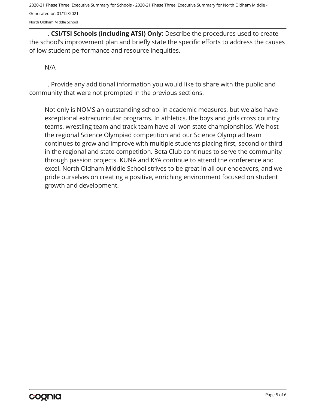. **CSI/TSI Schools (including ATSI) Only:** Describe the procedures used to create the school's improvement plan and briefly state the specific efforts to address the causes of low student performance and resource inequities.

#### N/A

. Provide any additional information you would like to share with the public and community that were not prompted in the previous sections.

Not only is NOMS an outstanding school in academic measures, but we also have exceptional extracurricular programs. In athletics, the boys and girls cross country teams, wrestling team and track team have all won state championships. We host the regional Science Olympiad competition and our Science Olympiad team continues to grow and improve with multiple students placing first, second or third in the regional and state competition. Beta Club continues to serve the community through passion projects. KUNA and KYA continue to attend the conference and excel. North Oldham Middle School strives to be great in all our endeavors, and we pride ourselves on creating a positive, enriching environment focused on student growth and development.